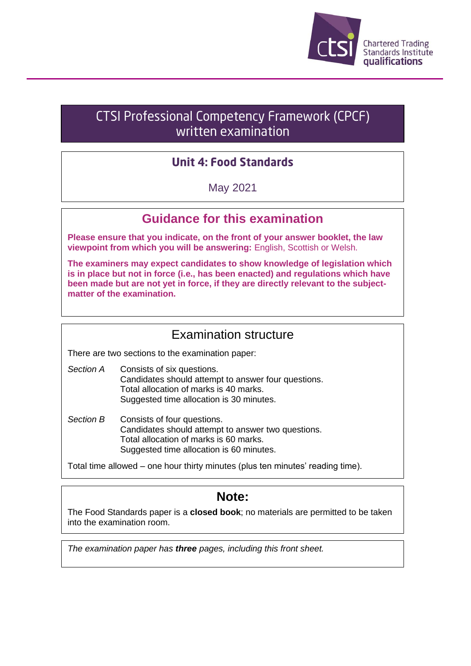

# **CTSI Professional Competency Framework (CPCF)** written examination

## **Unit 4: Food Standards**

May 2021

## **Guidance for this examination**

**Please ensure that you indicate, on the front of your answer booklet, the law viewpoint from which you will be answering:** English, Scottish or Welsh.

**The examiners may expect candidates to show knowledge of legislation which is in place but not in force (i.e., has been enacted) and regulations which have been made but are not yet in force, if they are directly relevant to the subjectmatter of the examination.**

## Examination structure

There are two sections to the examination paper:

- *Section A* Consists of six questions. Candidates should attempt to answer four questions. Total allocation of marks is 40 marks. Suggested time allocation is 30 minutes.
- *Section B* Consists of four questions. Candidates should attempt to answer two questions. Total allocation of marks is 60 marks. Suggested time allocation is 60 minutes.

Total time allowed – one hour thirty minutes (plus ten minutes' reading time).

## **Note:**

The Food Standards paper is a **closed book**; no materials are permitted to be taken into the examination room.

*The examination paper has three pages, including this front sheet.*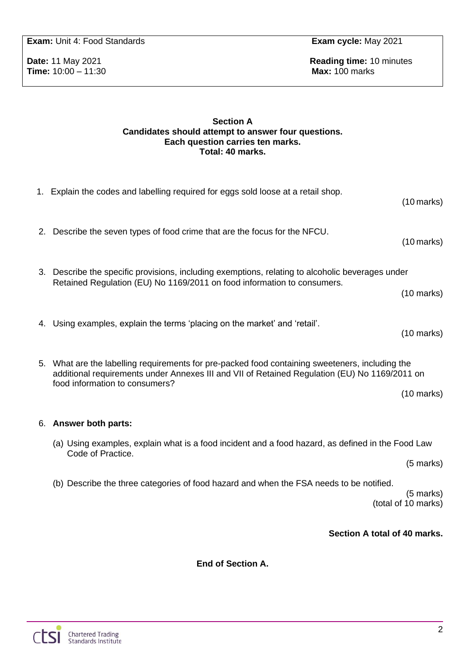### 6. **Answer both parts:**

**End of Section A.**

## **Exam:** Unit 4: Food Standards **Exam cycle:** May 2021

**Time:** 10:00 – 11:30 **Max:** 100 marks

**Date: 11 May 2021 Reading time: 10 minutes** 

#### **Section A Candidates should attempt to answer four questions. Each question carries ten marks. Total: 40 marks.**

1. Explain the codes and labelling required for eggs sold loose at a retail shop.

(10 marks) 2. Describe the seven types of food crime that are the focus for the NFCU. (10 marks) 3. Describe the specific provisions, including exemptions, relating to alcoholic beverages under Retained Regulation (EU) No 1169/2011 on food information to consumers. (10 marks) 4. Using examples, explain the terms 'placing on the market' and 'retail'. (10 marks) 5. What are the labelling requirements for pre-packed food containing sweeteners, including the additional requirements under Annexes III and VII of Retained Regulation (EU) No 1169/2011 on food information to consumers? (10 marks) (a) Using examples, explain what is a food incident and a food hazard, as defined in the Food Law Code of Practice. (5 marks) (b) Describe the three categories of food hazard and when the FSA needs to be notified. (5 marks) (total of 10 marks) **Section A total of 40 marks.**